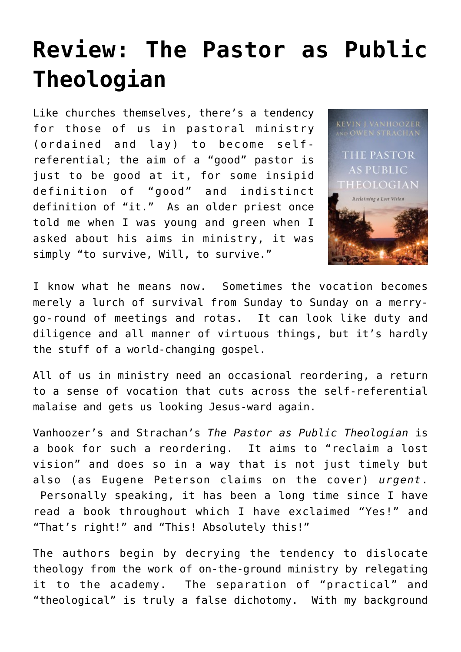## **[Review: The Pastor as Public](https://briggs.id.au/jour/2016/04/the-pastor-as-public-theologian/) [Theologian](https://briggs.id.au/jour/2016/04/the-pastor-as-public-theologian/)**

Like churches themselves, there's a tendency for those of us in pastoral ministry (ordained and lay) to become [self](http://briggs.id.au/jour/2014/12/the-good-and-the-bad-of-the-self-referential-church/)[referential](http://briggs.id.au/jour/2014/12/the-good-and-the-bad-of-the-self-referential-church/); the aim of a "good" pastor is just to be good at it, for some insipid definition of "good" and indistinct definition of "it." As an older priest once told me when I was young and green when I asked about his aims in ministry, it was simply "to survive, Will, to survive."



I know what he means now. Sometimes the vocation becomes merely a lurch of survival from Sunday to Sunday on a merrygo-round of meetings and rotas. It can look like duty and diligence and all manner of virtuous things, but it's hardly the stuff of a world-changing gospel.

All of us in ministry need an occasional reordering, a return to a sense of vocation that cuts across the self-referential malaise and gets us looking Jesus-ward again.

Vanhoozer's and Strachan's *[The Pastor as Public Theologian](http://bakerpublishinggroup.com/books/the-pastor-as-public-theologian/346540)* is a book for such a reordering. It aims to "reclaim a lost vision" and does so in a way that is not just timely but also (as Eugene Peterson claims on the cover) *urgent*. Personally speaking, it has been a long time since I have read a book throughout which I have exclaimed "Yes!" and "That's right!" and "This! Absolutely this!"

The authors begin by decrying the tendency to dislocate theology from the work of on-the-ground ministry by relegating it to the academy. The separation of "practical" and "theological" is truly a false dichotomy. With my background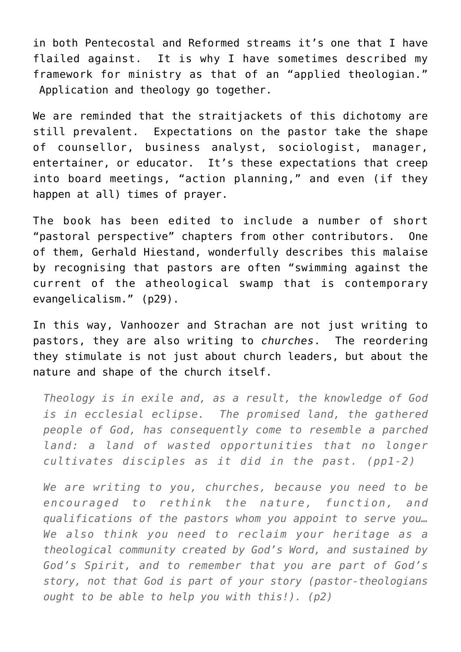in both Pentecostal and Reformed streams it's one that I have flailed against. It is why I have sometimes described my framework for ministry as that of an "applied theologian." Application and theology go together.

We are reminded that the straitjackets of this dichotomy are still prevalent. Expectations on the pastor take the shape of counsellor, business analyst, sociologist, manager, entertainer, or educator. It's these expectations that creep into board meetings, "action planning," and even (if they happen at all) times of prayer.

The book has been edited to include a number of short "pastoral perspective" chapters from other contributors. One of them, Gerhald Hiestand, wonderfully describes this malaise by recognising that pastors are often "swimming against the current of the atheological swamp that is contemporary evangelicalism." (p29).

In this way, Vanhoozer and Strachan are not just writing to pastors, they are also writing to *churches*. The reordering they stimulate is not just about church leaders, but about the nature and shape of the church itself.

*Theology is in exile and, as a result, the knowledge of God is in ecclesial eclipse. The promised land, the gathered people of God, has consequently come to resemble a parched land: a land of wasted opportunities that no longer cultivates disciples as it did in the past. (pp1-2)*

*We are writing to you, churches, because you need to be encouraged to rethink the nature, function, and qualifications of the pastors whom you appoint to serve you… We also think you need to reclaim your heritage as a theological community created by God's Word, and sustained by God's Spirit, and to remember that you are part of God's story, not that God is part of your story (pastor-theologians ought to be able to help you with this!). (p2)*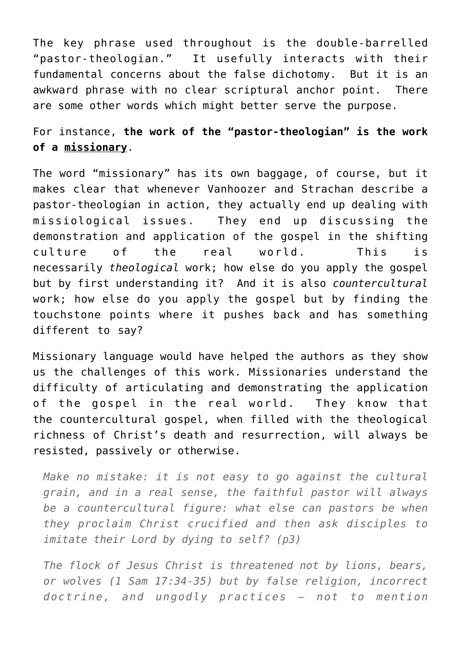The key phrase used throughout is the double-barrelled "pastor-theologian." It usefully interacts with their fundamental concerns about the false dichotomy. But it is an awkward phrase with no clear scriptural anchor point. There are some other words which might better serve the purpose.

## For instance, **the work of the "pastor-theologian" is the work of a missionary**.

The word "missionary" has its own baggage, of course, but it makes clear that whenever Vanhoozer and Strachan describe a pastor-theologian in action, they actually end up dealing with missiological issues. They end up discussing the demonstration and application of the gospel in the shifting culture of the real world. This is necessarily *theological* work; how else do you apply the gospel but by first understanding it? And it is also *countercultural* work; how else do you apply the gospel but by finding the touchstone points where it pushes back and has something different to say?

Missionary language would have helped the authors as they show us the challenges of this work. Missionaries understand the difficulty of articulating and demonstrating the application of the gospel in the real world. They know that the countercultural gospel, when filled with the theological richness of Christ's death and resurrection, will always be resisted, passively or otherwise.

*Make no mistake: it is not easy to go against the cultural grain, and in a real sense, the faithful pastor will always be a countercultural figure: what else can pastors be when they proclaim Christ crucified and then ask disciples to imitate their Lord by dying to self? (p3)*

*The flock of Jesus Christ is threatened not by lions, bears, or wolves (1 Sam 17:34-35) but by false religion, incorrect doctrine, and ungodly practices – not to mention*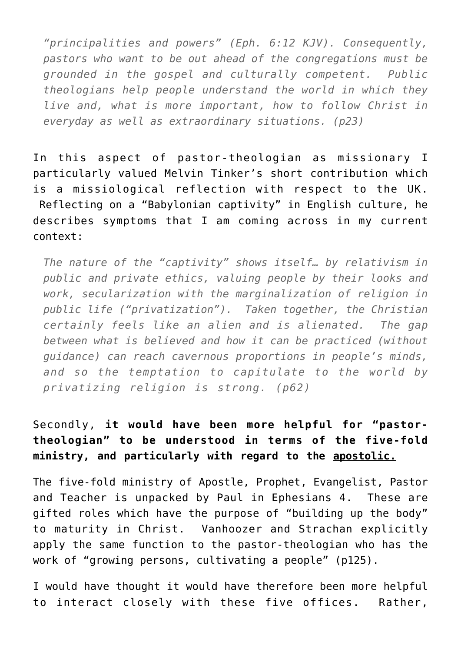*"principalities and powers" (Eph. 6:12 KJV). Consequently, pastors who want to be out ahead of the congregations must be grounded in the gospel and culturally competent. Public theologians help people understand the world in which they live and, what is more important, how to follow Christ in everyday as well as extraordinary situations. (p23)*

In this aspect of pastor-theologian as missionary I particularly valued Melvin Tinker's short contribution which is a missiological reflection with respect to the UK. Reflecting on a "Babylonian captivity" in English culture, he describes symptoms that I am coming across in my current context:

*The nature of the "captivity" shows itself… by relativism in public and private ethics, valuing people by their looks and work, secularization with the marginalization of religion in public life ("privatization"). Taken together, the Christian certainly feels like an alien and is alienated. The gap between what is believed and how it can be practiced (without guidance) can reach cavernous proportions in people's minds, and so the temptation to capitulate to the world by privatizing religion is strong. (p62)*

## Secondly, **it would have been more helpful for "pastortheologian" to be understood in terms of the five-fold ministry, and particularly with regard to the apostolic.**

The five-fold ministry of Apostle, Prophet, Evangelist, Pastor and Teacher is unpacked by Paul in Ephesians 4. These are gifted roles which have the purpose of "building up the body" to maturity in Christ. Vanhoozer and Strachan explicitly apply the same function to the pastor-theologian who has the work of "growing persons, cultivating a people" (p125).

I would have thought it would have therefore been more helpful to interact closely with these five offices. Rather,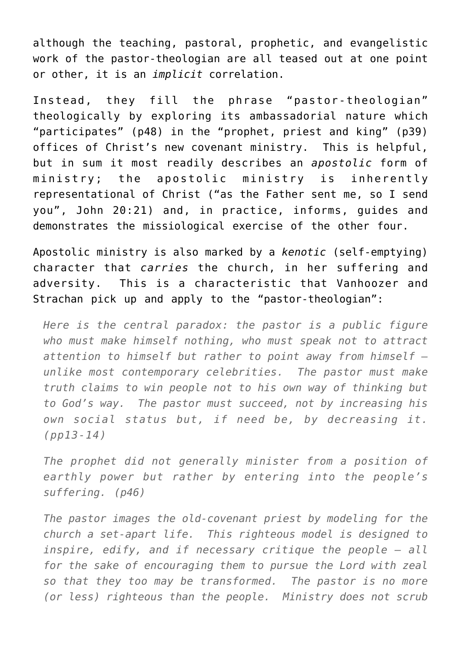although the teaching, pastoral, prophetic, and evangelistic work of the pastor-theologian are all teased out at one point or other, it is an *implicit* correlation.

Instead, they fill the phrase "pastor-theologian" theologically by exploring its ambassadorial nature which "participates" (p48) in the "prophet, priest and king" (p39) offices of Christ's new covenant ministry. This is helpful, but in sum it most readily describes an *apostolic* form of ministry; the apostolic ministry is inherently representational of Christ ("as the Father sent me, so I send you", John 20:21) and, in practice, informs, guides and demonstrates the missiological exercise of the other four.

Apostolic ministry is also marked by a *kenotic* (self-emptying) character that *carries* the church, in her suffering and adversity. This is a characteristic that Vanhoozer and Strachan pick up and apply to the "pastor-theologian":

*Here is the central paradox: the pastor is a public figure who must make himself nothing, who must speak not to attract attention to himself but rather to point away from himself – unlike most contemporary celebrities. The pastor must make truth claims to win people not to his own way of thinking but to God's way. The pastor must succeed, not by increasing his own social status but, if need be, by decreasing it. (pp13-14)*

*The prophet did not generally minister from a position of earthly power but rather by entering into the people's suffering. (p46)*

*The pastor images the old-covenant priest by modeling for the church a set-apart life. This righteous model is designed to inspire, edify, and if necessary critique the people – all for the sake of encouraging them to pursue the Lord with zeal so that they too may be transformed. The pastor is no more (or less) righteous than the people. Ministry does not scrub*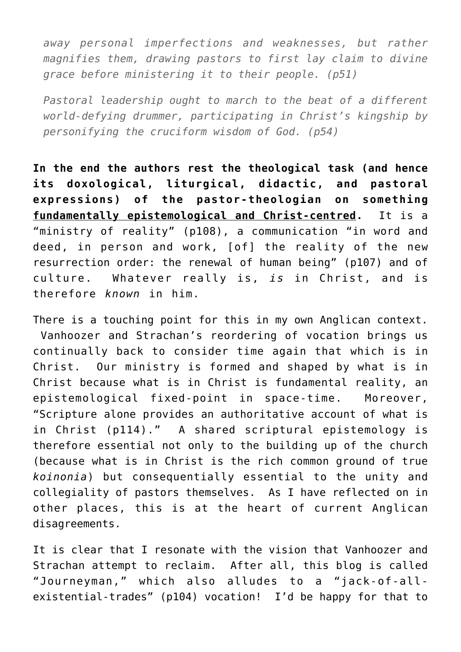*away personal imperfections and weaknesses, but rather magnifies them, drawing pastors to first lay claim to divine grace before ministering it to their people. (p51)*

*Pastoral leadership ought to march to the beat of a different world-defying drummer, participating in Christ's kingship by personifying the cruciform wisdom of God. (p54)*

**In the end the authors rest the theological task (and hence its doxological, liturgical, didactic, and pastoral expressions) of the pastor-theologian on something fundamentally epistemological and Christ-centred.** It is a "ministry of reality" (p108), a communication "in word and deed, in person and work, [of] the reality of the new resurrection order: the renewal of human being" (p107) and of culture. Whatever really is, *is* in Christ, and is therefore *known* in him.

There is a touching point for this in my own Anglican context. Vanhoozer and Strachan's reordering of vocation brings us continually back to consider time again that which is in Christ. Our ministry is formed and shaped by what is in Christ because what is in Christ is fundamental reality, an epistemological fixed-point in space-time. Moreover, "Scripture alone provides an authoritative account of what is in Christ (p114)." A shared scriptural epistemology is therefore essential not only to the building up of the church (because what is in Christ is the rich common ground of true *koinonia*) but consequentially essential to the unity and collegiality of pastors themselves. As I have reflected on in [other places,](http://briggs.id.au/jour/2015/10/good-disagreement-pt-1-foreword/) this is at the heart of current Anglican disagreements.

It is clear that I resonate with the vision that Vanhoozer and Strachan attempt to reclaim. After all, this blog is called "Journeyman," which also alludes to a "jack-of-allexistential-trades" (p104) vocation! I'd be happy for that to